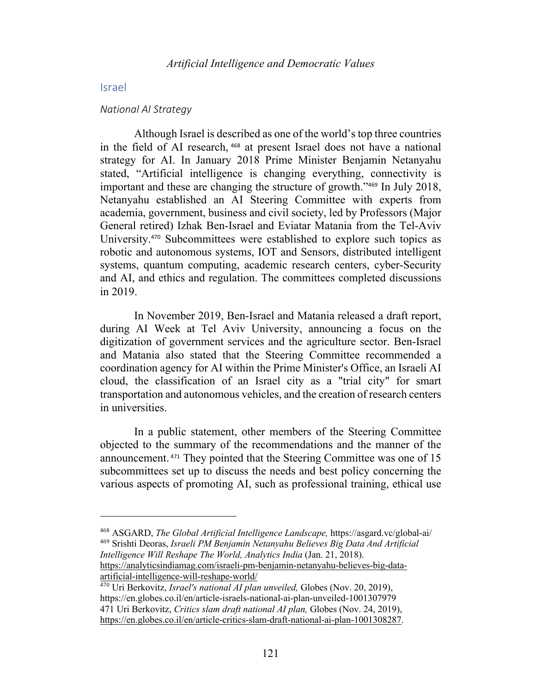# Israel

### *National AI Strategy*

Although Israel is described as one of the world's top three countries in the field of AI research, <sup>468</sup> at present Israel does not have a national strategy for AI. In January 2018 Prime Minister Benjamin Netanyahu stated, "Artificial intelligence is changing everything, connectivity is important and these are changing the structure of growth."<sup>469</sup> In July 2018, Netanyahu established an AI Steering Committee with experts from academia, government, business and civil society, led by Professors (Major General retired) Izhak Ben-Israel and Eviatar Matania from the Tel-Aviv University. <sup>470</sup> Subcommittees were established to explore such topics as robotic and autonomous systems, IOT and Sensors, distributed intelligent systems, quantum computing, academic research centers, cyber-Security and AI, and ethics and regulation. The committees completed discussions in 2019.

In November 2019, Ben-Israel and Matania released a draft report, during AI Week at Tel Aviv University, announcing a focus on the digitization of government services and the agriculture sector. Ben-Israel and Matania also stated that the Steering Committee recommended a coordination agency for AI within the Prime Minister's Office, an Israeli AI cloud, the classification of an Israel city as a "trial city" for smart transportation and autonomous vehicles, and the creation of research centers in universities.

In a public statement, other members of the Steering Committee objected to the summary of the recommendations and the manner of the announcement. <sup>471</sup> They pointed that the Steering Committee was one of 15 subcommittees set up to discuss the needs and best policy concerning the various aspects of promoting AI, such as professional training, ethical use

<sup>468</sup> ASGARD, *The Global Artificial Intelligence Landscape,* https://asgard.vc/global-ai/ <sup>469</sup> Srishti Deoras, *Israeli PM Benjamin Netanyahu Believes Big Data And Artificial Intelligence Will Reshape The World, Analytics India* (Jan. 21, 2018). https://analyticsindiamag.com/israeli-pm-benjamin-netanyahu-believes-big-dataartificial-intelligence-will-reshape-world/

<sup>470</sup> Uri Berkovitz, *Israel's national AI plan unveiled,* Globes (Nov. 20, 2019), https://en.globes.co.il/en/article-israels-national-ai-plan-unveiled-1001307979 471 Uri Berkovitz, *Critics slam draft national AI plan,* Globes (Nov. 24, 2019), https://en.globes.co.il/en/article-critics-slam-draft-national-ai-plan-1001308287.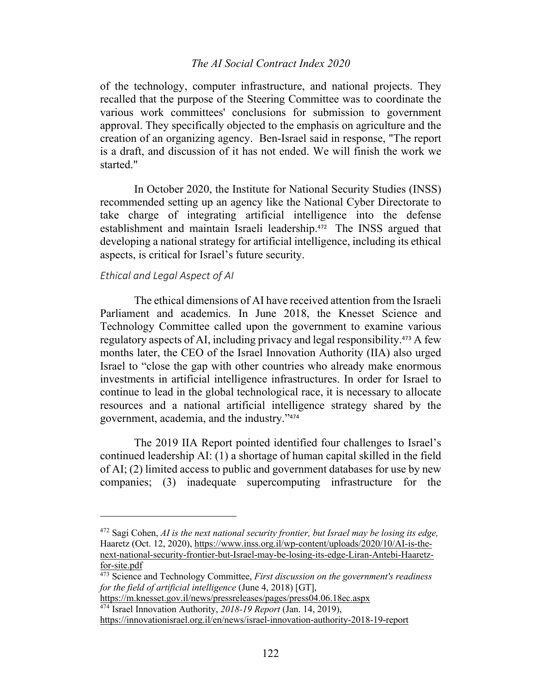of the technology, computer infrastructure, and national projects. They recalled that the purpose of the Steering Committee was to coordinate the various work committees' conclusions for submission to government approval. They specifically objected to the emphasis on agriculture and the creation of an organizing agency. Ben-Israel said in response, "The report is a draft, and discussion of it has not ended. We will finish the work we started."

In October 2020, the Institute for National Security Studies (INSS) recommended setting up an agency like the National Cyber Directorate to take charge of integrating artificial intelligence into the defense establishment and maintain Israeli leadership.<sup>472</sup> The INSS argued that developing a national strategy for artificial intelligence, including its ethical aspects, is critical for Israel's future security.

# *Ethical and Legal Aspect of AI*

The ethical dimensions of AI have received attention from the Israeli Parliament and academics. In June 2018, the Knesset Science and Technology Committee called upon the government to examine various regulatory aspects of AI, including privacy and legal responsibility. <sup>473</sup> A few months later, the CEO of the Israel Innovation Authority (IIA) also urged Israel to "close the gap with other countries who already make enormous investments in artificial intelligence infrastructures. In order for Israel to continue to lead in the global technological race, it is necessary to allocate resources and a national artificial intelligence strategy shared by the government, academia, and the industry."<sup>474</sup>

The 2019 IIA Report pointed identified four challenges to Israel's continued leadership AI: (1) a shortage of human capital skilled in the field of AI; (2) limited access to public and government databases for use by new companies; (3) inadequate supercomputing infrastructure for the

<sup>472</sup> Sagi Cohen, *AI is the next national security frontier, but Israel may be losing its edge,*  Haaretz (Oct. 12, 2020), https://www.inss.org.il/wp-content/uploads/2020/10/AI-is-thenext-national-security-frontier-but-Israel-may-be-losing-its-edge-Liran-Antebi-Haaretzfor-site.pdf

<sup>473</sup> Science and Technology Committee, *First discussion on the government's readiness for the field of artificial intelligence* (June 4, 2018) [GT],

https://m.knesset.gov.il/news/pressreleases/pages/press04.06.18ec.aspx <sup>474</sup> Israel Innovation Authority, *2018-19 Report* (Jan. 14, 2019),

https://innovationisrael.org.il/en/news/israel-innovation-authority-2018-19-report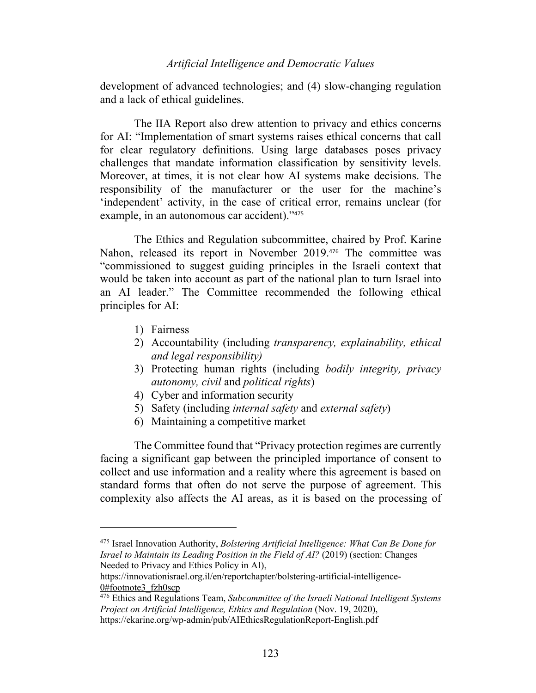development of advanced technologies; and (4) slow-changing regulation and a lack of ethical guidelines.

The IIA Report also drew attention to privacy and ethics concerns for AI: "Implementation of smart systems raises ethical concerns that call for clear regulatory definitions. Using large databases poses privacy challenges that mandate information classification by sensitivity levels. Moreover, at times, it is not clear how AI systems make decisions. The responsibility of the manufacturer or the user for the machine's 'independent' activity, in the case of critical error, remains unclear (for example, in an autonomous car accident)."<sup>475</sup>

The Ethics and Regulation subcommittee, chaired by Prof. Karine Nahon, released its report in November 2019.<sup>476</sup> The committee was "commissioned to suggest guiding principles in the Israeli context that would be taken into account as part of the national plan to turn Israel into an AI leader." The Committee recommended the following ethical principles for AI:

- 1) Fairness
- 2) Accountability (including *transparency, explainability, ethical and legal responsibility)*
- 3) Protecting human rights (including *bodily integrity, privacy autonomy, civil* and *political rights*)
- 4) Cyber and information security
- 5) Safety (including *internal safety* and *external safety*)
- 6) Maintaining a competitive market

The Committee found that "Privacy protection regimes are currently facing a significant gap between the principled importance of consent to collect and use information and a reality where this agreement is based on standard forms that often do not serve the purpose of agreement. This complexity also affects the AI areas, as it is based on the processing of

<sup>475</sup> Israel Innovation Authority, *Bolstering Artificial Intelligence: What Can Be Done for Israel to Maintain its Leading Position in the Field of AI?* (2019) (section: Changes Needed to Privacy and Ethics Policy in AI),

https://innovationisrael.org.il/en/reportchapter/bolstering-artificial-intelligence-0#footnote3 fzh0scp

<sup>476</sup> Ethics and Regulations Team, *Subcommittee of the Israeli National Intelligent Systems Project on Artificial Intelligence, Ethics and Regulation* (Nov. 19, 2020), https://ekarine.org/wp-admin/pub/AIEthicsRegulationReport-English.pdf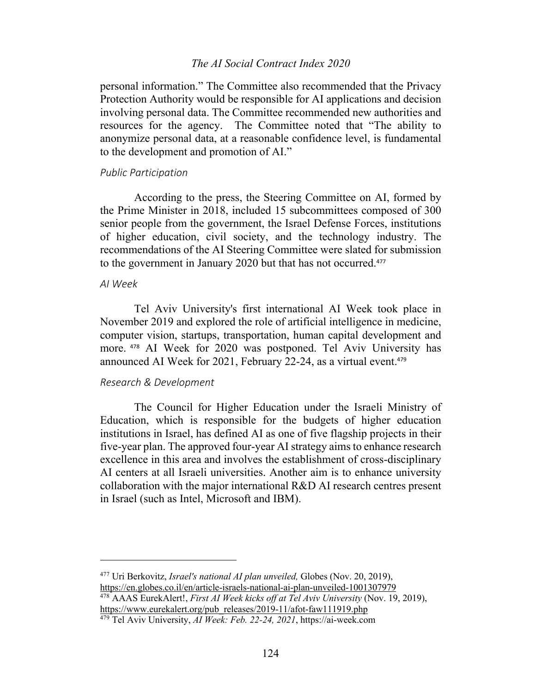personal information." The Committee also recommended that the Privacy Protection Authority would be responsible for AI applications and decision involving personal data. The Committee recommended new authorities and resources for the agency. The Committee noted that "The ability to anonymize personal data, at a reasonable confidence level, is fundamental to the development and promotion of AI."

#### *Public Participation*

According to the press, the Steering Committee on AI, formed by the Prime Minister in 2018, included 15 subcommittees composed of 300 senior people from the government, the Israel Defense Forces, institutions of higher education, civil society, and the technology industry. The recommendations of the AI Steering Committee were slated for submission to the government in January 2020 but that has not occurred. 477

# *AI Week*

Tel Aviv University's first international AI Week took place in November 2019 and explored the role of artificial intelligence in medicine, computer vision, startups, transportation, human capital development and more. <sup>478</sup> AI Week for 2020 was postponed. Tel Aviv University has announced AI Week for 2021, February 22-24, as a virtual event.<sup>479</sup>

#### *Research & Development*

The Council for Higher Education under the Israeli Ministry of Education, which is responsible for the budgets of higher education institutions in Israel, has defined AI as one of five flagship projects in their five-year plan. The approved four-year AI strategy aims to enhance research excellence in this area and involves the establishment of cross-disciplinary AI centers at all Israeli universities. Another aim is to enhance university collaboration with the major international R&D AI research centres present in Israel (such as Intel, Microsoft and IBM).

<sup>477</sup> Uri Berkovitz, *Israel's national AI plan unveiled,* Globes (Nov. 20, 2019), https://en.globes.co.il/en/article-israels-national-ai-plan-unveiled-1001307979

<sup>478</sup> AAAS EurekAlert!, *First AI Week kicks off at Tel Aviv University* (Nov. 19, 2019), https://www.eurekalert.org/pub\_releases/2019-11/afot-faw111919.php

<sup>479</sup> Tel Aviv University, *AI Week: Feb. 22-24, 2021*, https://ai-week.com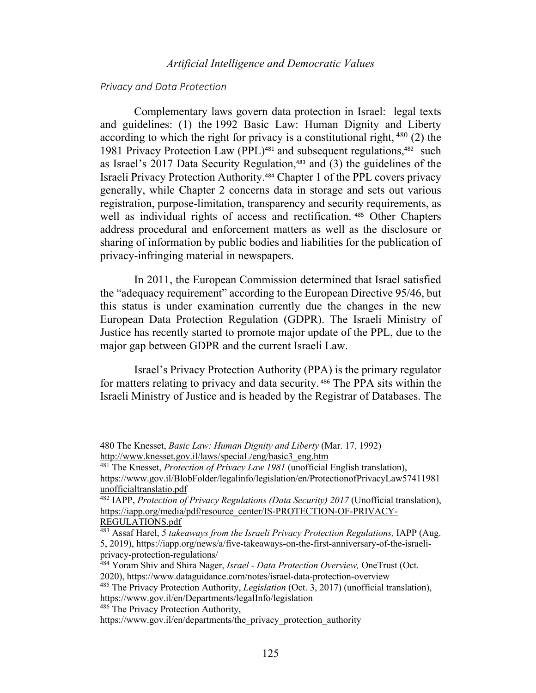### *Privacy and Data Protection*

Complementary laws govern data protection in Israel: legal texts and guidelines: (1) the 1992 Basic Law: Human Dignity and Liberty according to which the right for privacy is a constitutional right,  $480$  (2) the 1981 Privacy Protection Law (PPL)<sup>481</sup> and subsequent regulations,<sup>482</sup> such as Israel's 2017 Data Security Regulation, <sup>483</sup> and (3) the guidelines of the Israeli Privacy Protection Authority. <sup>484</sup> Chapter 1 of the PPL covers privacy generally, while Chapter 2 concerns data in storage and sets out various registration, purpose-limitation, transparency and security requirements, as well as individual rights of access and rectification.<sup>485</sup> Other Chapters address procedural and enforcement matters as well as the disclosure or sharing of information by public bodies and liabilities for the publication of privacy-infringing material in newspapers.

In 2011, the European Commission determined that Israel satisfied the "adequacy requirement" according to the European Directive 95/46, but this status is under examination currently due the changes in the new European Data Protection Regulation (GDPR). The Israeli Ministry of Justice has recently started to promote major update of the PPL, due to the major gap between GDPR and the current Israeli Law.

Israel's Privacy Protection Authority (PPA) is the primary regulator for matters relating to privacy and data security. <sup>486</sup> The PPA sits within the Israeli Ministry of Justice and is headed by the Registrar of Databases. The

<sup>486</sup> The Privacy Protection Authority,

<sup>480</sup> The Knesset, *Basic Law: Human Dignity and Liberty* (Mar. 17, 1992) http://www.knesset.gov.il/laws/speciaL/eng/basic3\_eng.htm

<sup>481</sup> The Knesset, *Protection of Privacy Law 1981* (unofficial English translation), https://www.gov.il/BlobFolder/legalinfo/legislation/en/ProtectionofPrivacyLaw57411981 unofficialtranslatio.pdf

<sup>482</sup> IAPP, *Protection of Privacy Regulations (Data Security) 2017* (Unofficial translation), https://iapp.org/media/pdf/resource\_center/IS-PROTECTION-OF-PRIVACY-REGULATIONS.pdf

<sup>483</sup> Assaf Harel, *5 takeaways from the Israeli Privacy Protection Regulations,* IAPP (Aug. 5, 2019), https://iapp.org/news/a/five-takeaways-on-the-first-anniversary-of-the-israeliprivacy-protection-regulations/

<sup>484</sup> Yoram Shiv and Shira Nager, *Israel - Data Protection Overview,* OneTrust (Oct. 2020), https://www.dataguidance.com/notes/israel-data-protection-overview

<sup>485</sup> The Privacy Protection Authority, *Legislation* (Oct. 3, 2017) (unofficial translation), https://www.gov.il/en/Departments/legalInfo/legislation

https://www.gov.il/en/departments/the\_privacy\_protection\_authority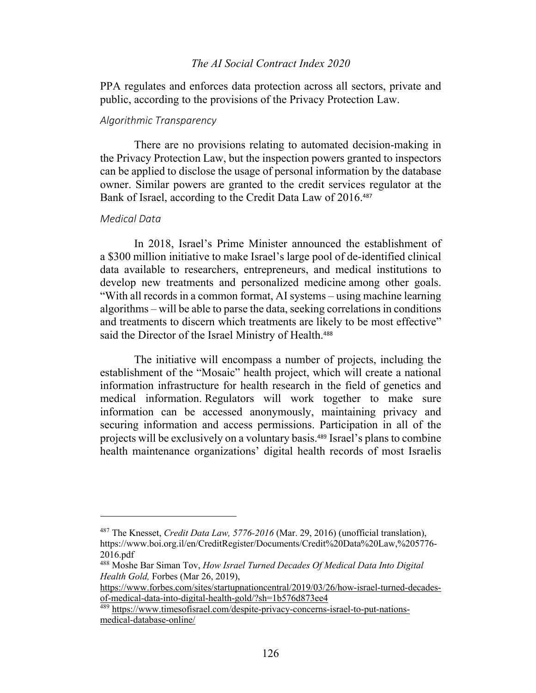PPA regulates and enforces data protection across all sectors, private and public, according to the provisions of the Privacy Protection Law.

#### *Algorithmic Transparency*

There are no provisions relating to automated decision-making in the Privacy Protection Law, but the inspection powers granted to inspectors can be applied to disclose the usage of personal information by the database owner. Similar powers are granted to the credit services regulator at the Bank of Israel, according to the Credit Data Law of 2016.<sup>487</sup>

### *Medical Data*

In 2018, Israel's Prime Minister announced the establishment of a \$300 million initiative to make Israel's large pool of de-identified clinical data available to researchers, entrepreneurs, and medical institutions to develop new treatments and personalized medicine among other goals. "With all records in a common format, AI systems – using machine learning algorithms – will be able to parse the data, seeking correlations in conditions and treatments to discern which treatments are likely to be most effective" said the Director of the Israel Ministry of Health.<sup>488</sup>

The initiative will encompass a number of projects, including the establishment of the "Mosaic" health project, which will create a national information infrastructure for health research in the field of genetics and medical information. Regulators will work together to make sure information can be accessed anonymously, maintaining privacy and securing information and access permissions. Participation in all of the projects will be exclusively on a voluntary basis.<sup>489</sup> Israel's plans to combine health maintenance organizations' digital health records of most Israelis

<sup>487</sup> The Knesset, *Credit Data Law, 5776-2016* (Mar. 29, 2016) (unofficial translation), https://www.boi.org.il/en/CreditRegister/Documents/Credit%20Data%20Law,%205776- 2016.pdf

<sup>488</sup> Moshe Bar Siman Tov, *How Israel Turned Decades Of Medical Data Into Digital Health Gold,* Forbes (Mar 26, 2019),

https://www.forbes.com/sites/startupnationcentral/2019/03/26/how-israel-turned-decadesof-medical-data-into-digital-health-gold/?sh=1b576d873ee4

<sup>489</sup> https://www.timesofisrael.com/despite-privacy-concerns-israel-to-put-nationsmedical-database-online/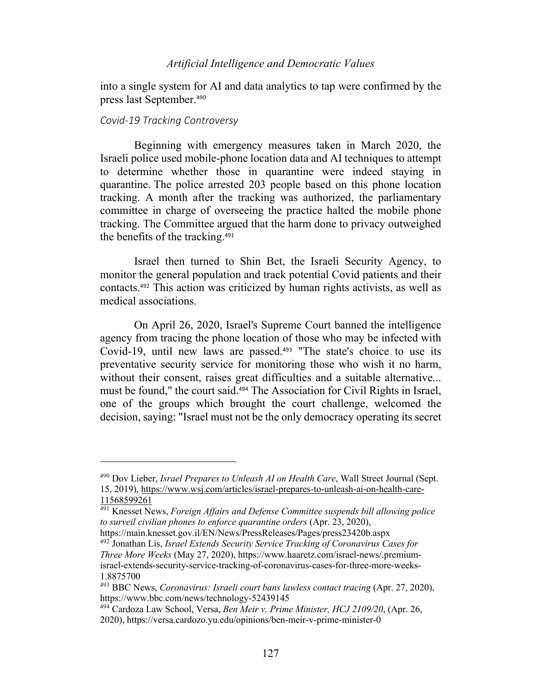into a single system for AI and data analytics to tap were confirmed by the press last September. 490

#### *Covid-19 Tracking Controversy*

Beginning with emergency measures taken in March 2020, the Israeli police used mobile-phone location data and AI techniques to attempt to determine whether those in quarantine were indeed staying in quarantine. The police arrested 203 people based on this phone location tracking. A month after the tracking was authorized, the parliamentary committee in charge of overseeing the practice halted the mobile phone tracking. The Committee argued that the harm done to privacy outweighed the benefits of the tracking.<sup>491</sup>

Israel then turned to Shin Bet, the Israeli Security Agency, to monitor the general population and track potential Covid patients and their contacts.<sup>492</sup> This action was criticized by human rights activists, as well as medical associations.

On April 26, 2020, Israel's Supreme Court banned the intelligence agency from tracing the phone location of those who may be infected with Covid-19, until new laws are passed.<sup>493</sup> "The state's choice to use its preventative security service for monitoring those who wish it no harm, without their consent, raises great difficulties and a suitable alternative... must be found," the court said.<sup>494</sup> The Association for Civil Rights in Israel, one of the groups which brought the court challenge, welcomed the decision, saying: "Israel must not be the only democracy operating its secret

<sup>490</sup> Dov Lieber, *Israel Prepares to Unleash AI on Health Care*, Wall Street Journal (Sept. 15, 2019), https://www.wsj.com/articles/israel-prepares-to-unleash-ai-on-health-care-11568599261

<sup>491</sup> Knesset News, *Foreign Affairs and Defense Committee suspends bill allowing police to surveil civilian phones to enforce quarantine orders* (Apr. 23, 2020),

https://main.knesset.gov.il/EN/News/PressReleases/Pages/press23420b.aspx <sup>492</sup> Jonathan Lis, *Israel Extends Security Service Tracking of Coronavirus Cases for Three More Weeks* (May 27, 2020), https://www.haaretz.com/israel-news/.premiumisrael-extends-security-service-tracking-of-coronavirus-cases-for-three-more-weeks-1.8875700

<sup>&</sup>lt;sup>493</sup> BBC News, *Coronavirus: Israeli court bans lawless contact tracing* (Apr. 27, 2020), https://www.bbc.com/news/technology-52439145

<sup>494</sup> Cardoza Law School, Versa, *Ben Meir v. Prime Minister, HCJ 2109/20*, (Apr. 26, 2020), https://versa.cardozo.yu.edu/opinions/ben-meir-v-prime-minister-0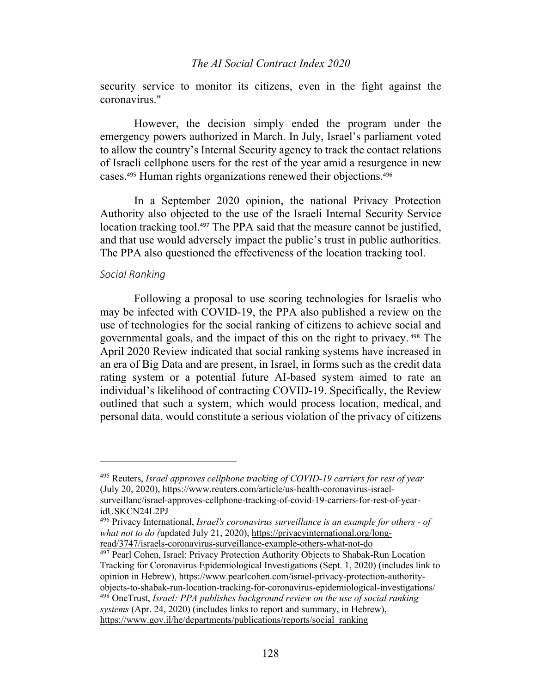security service to monitor its citizens, even in the fight against the coronavirus."

However, the decision simply ended the program under the emergency powers authorized in March. In July, Israel's parliament voted to allow the country's Internal Security agency to track the contact relations of Israeli cellphone users for the rest of the year amid a resurgence in new cases.<sup>495</sup> Human rights organizations renewed their objections. 496

In a September 2020 opinion, the national Privacy Protection Authority also objected to the use of the Israeli Internal Security Service location tracking tool.<sup>497</sup> The PPA said that the measure cannot be justified, and that use would adversely impact the public's trust in public authorities. The PPA also questioned the effectiveness of the location tracking tool.

# *Social Ranking*

Following a proposal to use scoring technologies for Israelis who may be infected with COVID-19, the PPA also published a review on the use of technologies for the social ranking of citizens to achieve social and governmental goals, and the impact of this on the right to privacy. <sup>498</sup> The April 2020 Review indicated that social ranking systems have increased in an era of Big Data and are present, in Israel, in forms such as the credit data rating system or a potential future AI-based system aimed to rate an individual's likelihood of contracting COVID-19. Specifically, the Review outlined that such a system, which would process location, medical, and personal data, would constitute a serious violation of the privacy of citizens

<sup>495</sup> Reuters, *Israel approves cellphone tracking of COVID-19 carriers for rest of year*  (July 20, 2020), https://www.reuters.com/article/us-health-coronavirus-israelsurveillanc/israel-approves-cellphone-tracking-of-covid-19-carriers-for-rest-of-yearidUSKCN24L2PJ

<sup>496</sup> Privacy International, *Israel's coronavirus surveillance is an example for others - of what not to do (*updated July 21, 2020), https://privacyinternational.org/longread/3747/israels-coronavirus-surveillance-example-others-what-not-do

<sup>497</sup> Pearl Cohen, Israel: Privacy Protection Authority Objects to Shabak-Run Location Tracking for Coronavirus Epidemiological Investigations (Sept. 1, 2020) (includes link to opinion in Hebrew), https://www.pearlcohen.com/israel-privacy-protection-authorityobjects-to-shabak-run-location-tracking-for-coronavirus-epidemiological-investigations/ <sup>498</sup> OneTrust, *Israel: PPA publishes background review on the use of social ranking* 

*systems* (Apr. 24, 2020) (includes links to report and summary, in Hebrew), https://www.gov.il/he/departments/publications/reports/social\_ranking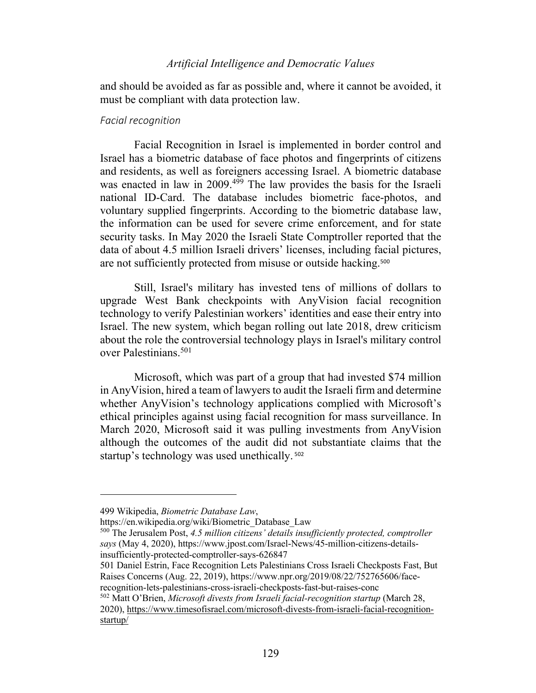and should be avoided as far as possible and, where it cannot be avoided, it must be compliant with data protection law.

#### *Facial recognition*

Facial Recognition in Israel is implemented in border control and Israel has a biometric database of face photos and fingerprints of citizens and residents, as well as foreigners accessing Israel. A biometric database was enacted in law in 2009.<sup>499</sup> The law provides the basis for the Israeli national ID-Card. The database includes biometric face-photos, and voluntary supplied fingerprints. According to the biometric database law, the information can be used for severe crime enforcement, and for state security tasks. In May 2020 the Israeli State Comptroller reported that the data of about 4.5 million Israeli drivers' licenses, including facial pictures, are not sufficiently protected from misuse or outside hacking.<sup>500</sup>

Still, Israel's military has invested tens of millions of dollars to upgrade West Bank checkpoints with AnyVision facial recognition technology to verify Palestinian workers' identities and ease their entry into Israel. The new system, which began rolling out late 2018, drew criticism about the role the controversial technology plays in Israel's military control over Palestinians.501

Microsoft, which was part of a group that had invested \$74 million in AnyVision, hired a team of lawyers to audit the Israeli firm and determine whether AnyVision's technology applications complied with Microsoft's ethical principles against using facial recognition for mass surveillance. In March 2020, Microsoft said it was pulling investments from AnyVision although the outcomes of the audit did not substantiate claims that the startup's technology was used unethically.<sup>502</sup>

<sup>502</sup> Matt O'Brien, *Microsoft divests from Israeli facial-recognition startup* (March 28, 2020), https://www.timesofisrael.com/microsoft-divests-from-israeli-facial-recognitionstartup/

<sup>499</sup> Wikipedia, *Biometric Database Law*,

https://en.wikipedia.org/wiki/Biometric\_Database\_Law

<sup>500</sup> The Jerusalem Post, *4.5 million citizens' details insufficiently protected, comptroller says* (May 4, 2020), https://www.jpost.com/Israel-News/45-million-citizens-detailsinsufficiently-protected-comptroller-says-626847

<sup>501</sup> Daniel Estrin, Face Recognition Lets Palestinians Cross Israeli Checkposts Fast, But Raises Concerns (Aug. 22, 2019), https://www.npr.org/2019/08/22/752765606/facerecognition-lets-palestinians-cross-israeli-checkposts-fast-but-raises-conc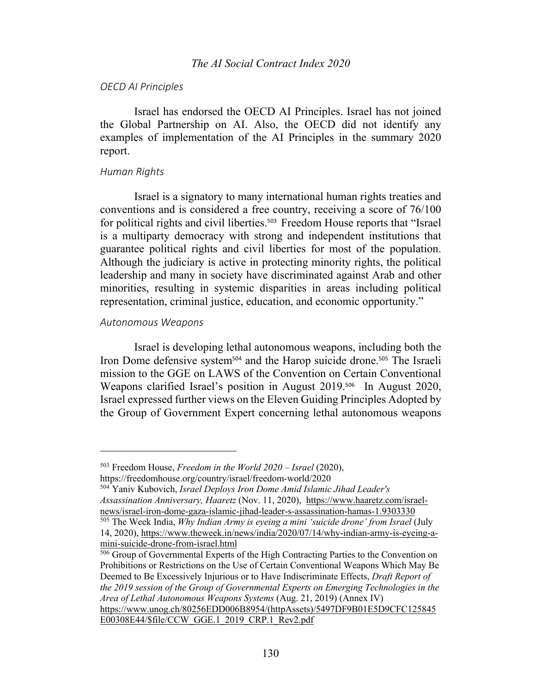### *OECD AI Principles*

Israel has endorsed the OECD AI Principles. Israel has not joined the Global Partnership on AI. Also, the OECD did not identify any examples of implementation of the AI Principles in the summary 2020 report.

### *Human Rights*

Israel is a signatory to many international human rights treaties and conventions and is considered a free country, receiving a score of 76/100 for political rights and civil liberties.<sup>503</sup> Freedom House reports that "Israel is a multiparty democracy with strong and independent institutions that guarantee political rights and civil liberties for most of the population. Although the judiciary is active in protecting minority rights, the political leadership and many in society have discriminated against Arab and other minorities, resulting in systemic disparities in areas including political representation, criminal justice, education, and economic opportunity."

# *Autonomous Weapons*

Israel is developing lethal autonomous weapons, including both the Iron Dome defensive system<sup>504</sup> and the Harop suicide drone.<sup>505</sup> The Israeli mission to the GGE on LAWS of the Convention on Certain Conventional Weapons clarified Israel's position in August 2019. <sup>506</sup> In August 2020, Israel expressed further views on the Eleven Guiding Principles Adopted by the Group of Government Expert concerning lethal autonomous weapons

E00308E44/\$file/CCW\_GGE.1\_2019\_CRP.1\_Rev2.pdf

<sup>503</sup> Freedom House, *Freedom in the World 2020 – Israel* (2020),

https://freedomhouse.org/country/israel/freedom-world/2020

<sup>504</sup> Yaniv Kubovich, *Israel Deploys Iron Dome Amid Islamic Jihad Leader's Assassination Anniversary, Haaretz* (Nov. 11, 2020), https://www.haaretz.com/israelnews/israel-iron-dome-gaza-islamic-jihad-leader-s-assassination-hamas-1.9303330

<sup>&</sup>lt;sup>505</sup> The Week India, *Why Indian Army is eyeing a mini 'suicide drone' from Israel* (July 14, 2020), https://www.theweek.in/news/india/2020/07/14/why-indian-army-is-eyeing-amini-suicide-drone-from-israel.html

<sup>506</sup> Group of Governmental Experts of the High Contracting Parties to the Convention on Prohibitions or Restrictions on the Use of Certain Conventional Weapons Which May Be Deemed to Be Excessively Injurious or to Have Indiscriminate Effects, *Draft Report of the 2019 session of the Group of Governmental Experts on Emerging Technologies in the Area of Lethal Autonomous Weapons Systems* (Aug. 21, 2019) (Annex IV) https://www.unog.ch/80256EDD006B8954/(httpAssets)/5497DF9B01E5D9CFC125845